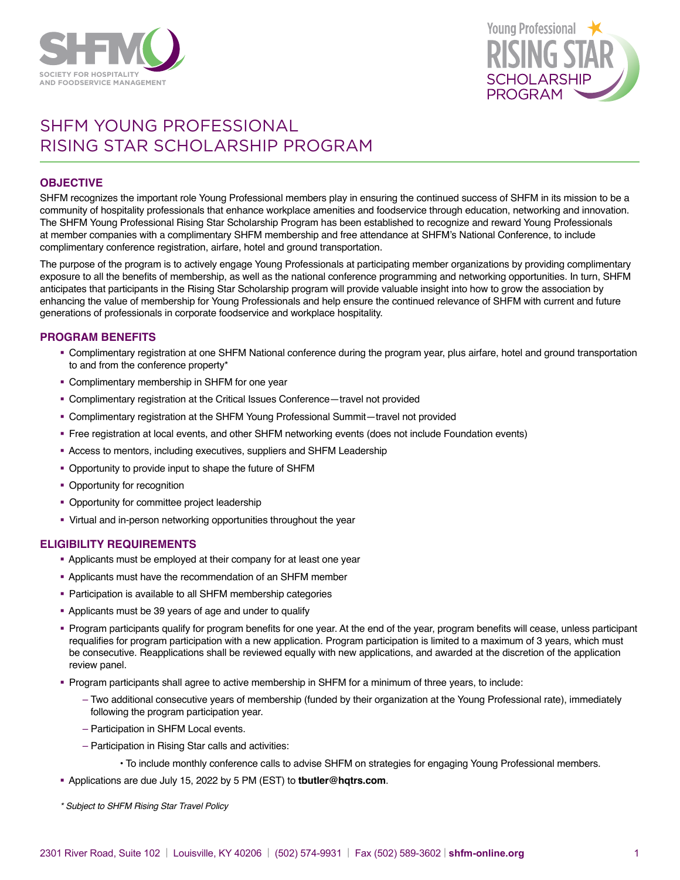



# SHFM YOUNG PROFESSIONAL RISING STAR SCHOLARSHIP PROGRAM

## **OBJECTIVE**

SHFM recognizes the important role Young Professional members play in ensuring the continued success of SHFM in its mission to be a community of hospitality professionals that enhance workplace amenities and foodservice through education, networking and innovation. The SHFM Young Professional Rising Star Scholarship Program has been established to recognize and reward Young Professionals at member companies with a complimentary SHFM membership and free attendance at SHFM's National Conference, to include complimentary conference registration, airfare, hotel and ground transportation.

The purpose of the program is to actively engage Young Professionals at participating member organizations by providing complimentary exposure to all the benefits of membership, as well as the national conference programming and networking opportunities. In turn, SHFM anticipates that participants in the Rising Star Scholarship program will provide valuable insight into how to grow the association by enhancing the value of membership for Young Professionals and help ensure the continued relevance of SHFM with current and future generations of professionals in corporate foodservice and workplace hospitality.

### **PROGRAM BENEFITS**

- § Complimentary registration at one SHFM National conference during the program year, plus airfare, hotel and ground transportation to and from the conference property\*
- Complimentary membership in SHFM for one year
- § Complimentary registration at the Critical Issues Conference—travel not provided
- § Complimentary registration at the SHFM Young Professional Summit—travel not provided
- § Free registration at local events, and other SHFM networking events (does not include Foundation events)
- § Access to mentors, including executives, suppliers and SHFM Leadership
- § Opportunity to provide input to shape the future of SHFM
- Opportunity for recognition
- Opportunity for committee project leadership
- § Virtual and in-person networking opportunities throughout the year

### **ELIGIBILITY REQUIREMENTS**

- § Applicants must be employed at their company for at least one year
- § Applicants must have the recommendation of an SHFM member
- Participation is available to all SHFM membership categories
- § Applicants must be 39 years of age and under to qualify
- § Program participants qualify for program benefits for one year. At the end of the year, program benefits will cease, unless participant requalifies for program participation with a new application. Program participation is limited to a maximum of 3 years, which must be consecutive. Reapplications shall be reviewed equally with new applications, and awarded at the discretion of the application review panel.
- § Program participants shall agree to active membership in SHFM for a minimum of three years, to include:
	- Two additional consecutive years of membership (funded by their organization at the Young Professional rate), immediately following the program participation year.
	- Participation in SHFM Local events.
	- Participation in Rising Star calls and activities:
		- To include monthly conference calls to advise SHFM on strategies for engaging Young Professional members.
- § Applications are due July 15, 2022 by 5 PM (EST) to **[tbutler@hqtrs.com](mailto:tbutler%40hqtrs.com?subject=SHFM%20Rising%20Star%20Application)**.
- *\* Subject to SHFM Rising Star Travel Policy*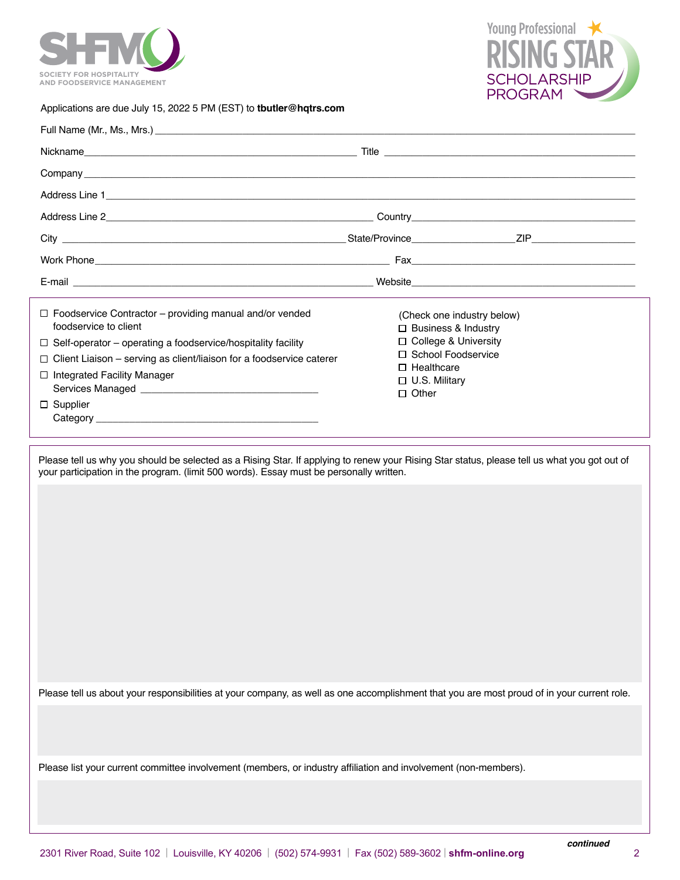



## Applications are due July 15, 2022 5 PM (EST) to **[tbutler@hqtrs.com](mailto:tbutler%40hqtrs.com?subject=SHFM%20Rising%20Star%20Application)**

| Nickname <b>Contract Contract Contract Contract Contract Contract Contract Contract Contract Contract Contract Contract Contract Contract Contract Contract Contract Contract Contract Contract Contract Contract Contract Contr</b>                                                                                                                                                                                                                                                                                                                                                                                                                                                                               |  |  |
|--------------------------------------------------------------------------------------------------------------------------------------------------------------------------------------------------------------------------------------------------------------------------------------------------------------------------------------------------------------------------------------------------------------------------------------------------------------------------------------------------------------------------------------------------------------------------------------------------------------------------------------------------------------------------------------------------------------------|--|--|
|                                                                                                                                                                                                                                                                                                                                                                                                                                                                                                                                                                                                                                                                                                                    |  |  |
|                                                                                                                                                                                                                                                                                                                                                                                                                                                                                                                                                                                                                                                                                                                    |  |  |
|                                                                                                                                                                                                                                                                                                                                                                                                                                                                                                                                                                                                                                                                                                                    |  |  |
|                                                                                                                                                                                                                                                                                                                                                                                                                                                                                                                                                                                                                                                                                                                    |  |  |
|                                                                                                                                                                                                                                                                                                                                                                                                                                                                                                                                                                                                                                                                                                                    |  |  |
|                                                                                                                                                                                                                                                                                                                                                                                                                                                                                                                                                                                                                                                                                                                    |  |  |
| $\Box$ Foodservice Contractor – providing manual and/or vended<br>(Check one industry below)<br>foodservice to client<br>$\Box$ Business & Industry<br>□ College & University<br>$\Box$ Self-operator – operating a foodservice/hospitality facility<br>□ School Foodservice<br>$\Box$ Client Liaison – serving as client/liaison for a foodservice caterer<br>$\Box$ Healthcare<br>□ Integrated Facility Manager<br>□ U.S. Military<br>$\Box$ Other<br>$\Box$ Supplier<br>Please tell us why you should be selected as a Rising Star. If applying to renew your Rising Star status, please tell us what you got out of<br>your participation in the program. (limit 500 words). Essay must be personally written. |  |  |
|                                                                                                                                                                                                                                                                                                                                                                                                                                                                                                                                                                                                                                                                                                                    |  |  |
| Please tell us about your responsibilities at your company, as well as one accomplishment that you are most proud of in your current role.                                                                                                                                                                                                                                                                                                                                                                                                                                                                                                                                                                         |  |  |
| Please list your current committee involvement (members, or industry affiliation and involvement (non-members).                                                                                                                                                                                                                                                                                                                                                                                                                                                                                                                                                                                                    |  |  |